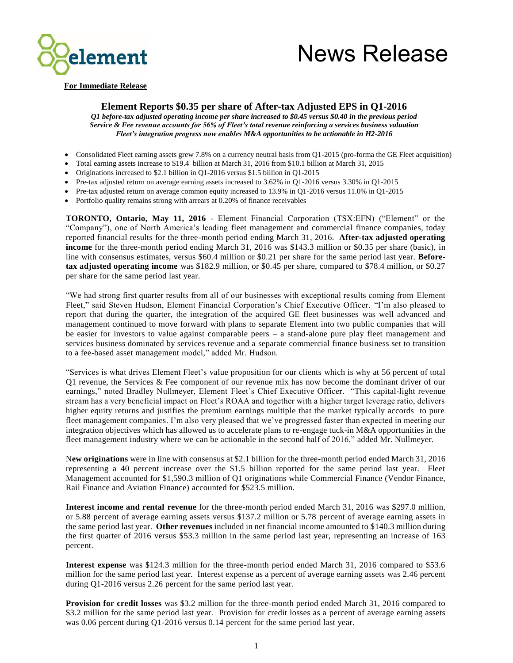



#### **For Immediate Release**

### **Element Reports \$0.35 per share of After-tax Adjusted EPS in Q1-2016**

*Q1 before-tax adjusted operating income per share increased to \$0.45 versus \$0.40 in the previous period Service & Fee revenue accounts for 56% of Fleet's total revenue reinforcing a services business valuation Fleet's integration progress now enables M&A opportunities to be actionable in H2-2016* 

- Consolidated Fleet earning assets grew 7.8% on a currency neutral basis from Q1-2015 (pro-forma the GE Fleet acquisition)
- Total earning assets increase to \$19.4 billion at March 31, 2016 from \$10.1 billion at March 31, 2015
- Originations increased to \$2.1 billion in Q1-2016 versus \$1.5 billion in Q1-2015
- Pre-tax adjusted return on average earning assets increased to 3.62% in Q1-2016 versus 3.30% in Q1-2015
- Pre-tax adjusted return on average common equity increased to 13.9% in Q1-2016 versus 11.0% in Q1-2015
- Portfolio quality remains strong with arrears at 0.20% of finance receivables

**TORONTO, Ontario, May 11, 2016** - Element Financial Corporation (TSX:EFN) ("Element" or the "Company"), one of North America's leading fleet management and commercial finance companies, today reported financial results for the three-month period ending March 31, 2016. **After-tax adjusted operating income** for the three-month period ending March 31, 2016 was \$143.3 million or \$0.35 per share (basic), in line with consensus estimates, versus \$60.4 million or \$0.21 per share for the same period last year. **Beforetax adjusted operating income** was \$182.9 million, or \$0.45 per share, compared to \$78.4 million, or \$0.27 per share for the same period last year.

"We had strong first quarter results from all of our businesses with exceptional results coming from Element Fleet," said Steven Hudson, Element Financial Corporation's Chief Executive Officer. "I'm also pleased to report that during the quarter, the integration of the acquired GE fleet businesses was well advanced and management continued to move forward with plans to separate Element into two public companies that will be easier for investors to value against comparable peers – a stand-alone pure play fleet management and services business dominated by services revenue and a separate commercial finance business set to transition to a fee-based asset management model," added Mr. Hudson.

"Services is what drives Element Fleet's value proposition for our clients which is why at 56 percent of total Q1 revenue, the Services & Fee component of our revenue mix has now become the dominant driver of our earnings," noted Bradley Nullmeyer, Element Fleet's Chief Executive Officer. "This capital-light revenue stream has a very beneficial impact on Fleet's ROAA and together with a higher target leverage ratio, delivers higher equity returns and justifies the premium earnings multiple that the market typically accords to pure fleet management companies. I'm also very pleased that we've progressed faster than expected in meeting our integration objectives which has allowed us to accelerate plans to re-engage tuck-in M&A opportunities in the fleet management industry where we can be actionable in the second half of 2016," added Mr. Nullmeyer.

N**ew originations** were in line with consensus at \$2.1 billion for the three-month period ended March 31, 2016 representing a 40 percent increase over the \$1.5 billion reported for the same period last year. Fleet Management accounted for \$1,590.3 million of Q1 originations while Commercial Finance (Vendor Finance, Rail Finance and Aviation Finance) accounted for \$523.5 million.

**Interest income and rental revenue** for the three-month period ended March 31, 2016 was \$297.0 million, or 5.88 percent of average earning assets versus \$137.2 million or 5.78 percent of average earning assets in the same period last year. **Other revenues** included in net financial income amounted to \$140.3 million during the first quarter of 2016 versus \$53.3 million in the same period last year, representing an increase of 163 percent.

**Interest expense** was \$124.3 million for the three-month period ended March 31, 2016 compared to \$53.6 million for the same period last year. Interest expense as a percent of average earning assets was 2.46 percent during Q1-2016 versus 2.26 percent for the same period last year.

**Provision for credit losses** was \$3.2 million for the three-month period ended March 31, 2016 compared to \$3.2 million for the same period last year. Provision for credit losses as a percent of average earning assets was 0.06 percent during Q1-2016 versus 0.14 percent for the same period last year.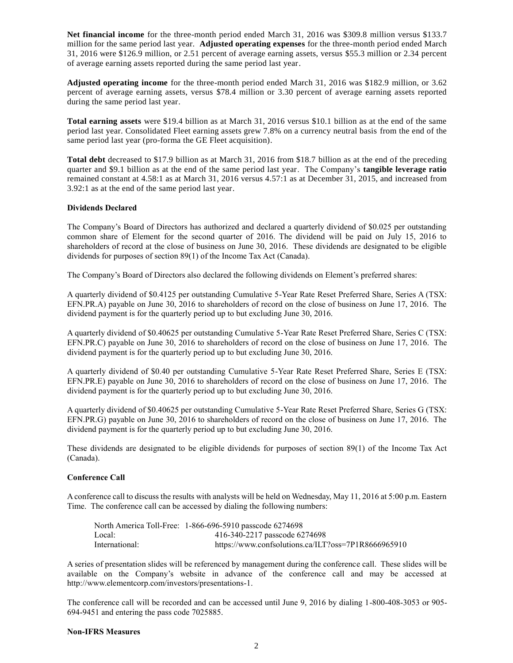**Net financial income** for the three-month period ended March 31, 2016 was \$309.8 million versus \$133.7 million for the same period last year. **Adjusted operating expenses** for the three-month period ended March 31, 2016 were \$126.9 million, or 2.51 percent of average earning assets, versus \$55.3 million or 2.34 percent of average earning assets reported during the same period last year.

**Adjusted operating income** for the three-month period ended March 31, 2016 was \$182.9 million, or 3.62 percent of average earning assets, versus \$78.4 million or 3.30 percent of average earning assets reported during the same period last year.

**Total earning assets** were \$19.4 billion as at March 31, 2016 versus \$10.1 billion as at the end of the same period last year. Consolidated Fleet earning assets grew 7.8% on a currency neutral basis from the end of the same period last year (pro-forma the GE Fleet acquisition).

**Total debt** decreased to \$17.9 billion as at March 31, 2016 from \$18.7 billion as at the end of the preceding quarter and \$9.1 billion as at the end of the same period last year. The Company's **tangible leverage ratio** remained constant at 4.58:1 as at March 31, 2016 versus 4.57:1 as at December 31, 2015, and increased from 3.92:1 as at the end of the same period last year.

### **Dividends Declared**

The Company's Board of Directors has authorized and declared a quarterly dividend of \$0.025 per outstanding common share of Element for the second quarter of 2016. The dividend will be paid on July 15, 2016 to shareholders of record at the close of business on June 30, 2016. These dividends are designated to be eligible dividends for purposes of section 89(1) of the Income Tax Act (Canada).

The Company's Board of Directors also declared the following dividends on Element's preferred shares:

A quarterly dividend of \$0.4125 per outstanding Cumulative 5-Year Rate Reset Preferred Share, Series A (TSX: EFN.PR.A) payable on June 30, 2016 to shareholders of record on the close of business on June 17, 2016. The dividend payment is for the quarterly period up to but excluding June 30, 2016.

A quarterly dividend of \$0.40625 per outstanding Cumulative 5-Year Rate Reset Preferred Share, Series C (TSX: EFN.PR.C) payable on June 30, 2016 to shareholders of record on the close of business on June 17, 2016. The dividend payment is for the quarterly period up to but excluding June 30, 2016.

A quarterly dividend of \$0.40 per outstanding Cumulative 5-Year Rate Reset Preferred Share, Series E (TSX: EFN.PR.E) payable on June 30, 2016 to shareholders of record on the close of business on June 17, 2016. The dividend payment is for the quarterly period up to but excluding June 30, 2016.

A quarterly dividend of \$0.40625 per outstanding Cumulative 5-Year Rate Reset Preferred Share, Series G (TSX: EFN.PR.G) payable on June 30, 2016 to shareholders of record on the close of business on June 17, 2016. The dividend payment is for the quarterly period up to but excluding June 30, 2016.

These dividends are designated to be eligible dividends for purposes of section 89(1) of the Income Tax Act (Canada).

### **Conference Call**

A conference call to discuss the results with analysts will be held on Wednesday, May 11, 2016 at 5:00 p.m. Eastern Time. The conference call can be accessed by dialing the following numbers:

|                | North America Toll-Free: 1-866-696-5910 passcode 6274698 |
|----------------|----------------------------------------------------------|
| Local:         | 416-340-2217 passcode 6274698                            |
| International: | https://www.confsolutions.ca/ILT?oss=7P1R8666965910      |

A series of presentation slides will be referenced by management during the conference call. These slides will be available on the Company's website in advance of the conference call and may be accessed at [http://www.elementcorp.com/investors/presentations-1.](http://www.elementcorp.com/investors/presentations-1)

The conference call will be recorded and can be accessed until June 9, 2016 by dialing 1-800-408-3053 or 905- 694-9451 and entering the pass code 7025885.

### **Non-IFRS Measures**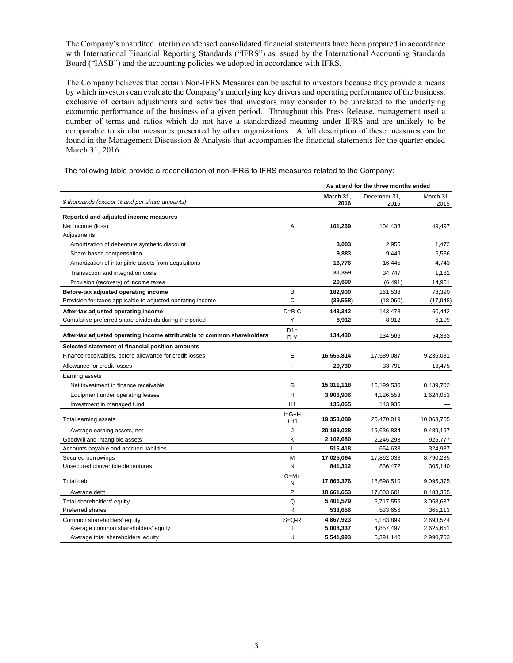The Company's unaudited interim condensed consolidated financial statements have been prepared in accordance with International Financial Reporting Standards ("IFRS") as issued by the International Accounting Standards Board ("IASB") and the accounting policies we adopted in accordance with IFRS.

The Company believes that certain Non-IFRS Measures can be useful to investors because they provide a means by which investors can evaluate the Company's underlying key drivers and operating performance of the business, exclusive of certain adjustments and activities that investors may consider to be unrelated to the underlying economic performance of the business of a given period. Throughout this Press Release, management used a number of terms and ratios which do not have a standardized meaning under IFRS and are unlikely to be comparable to similar measures presented by other organizations. A full description of these measures can be found in the Management Discussion & Analysis that accompanies the financial statements for the quarter ended March 31, 2016.

The following table provide a reconciliation of non-IFRS to IFRS measures related to the Company:

|                                                                         |                    |                   | As at and for the three months ended |                   |
|-------------------------------------------------------------------------|--------------------|-------------------|--------------------------------------|-------------------|
| \$ thousands (except % and per share amounts)                           |                    | March 31.<br>2016 | December 31,<br>2015                 | March 31.<br>2015 |
| Reported and adjusted income measures                                   |                    |                   |                                      |                   |
| Net income (loss)                                                       | Α                  | 101,269           | 104,433                              | 49,497            |
| Adjustments:                                                            |                    |                   |                                      |                   |
| Amortization of debenture synthetic discount                            |                    | 3,003             | 2,955                                | 1,472             |
| Share-based compensation                                                |                    | 9,883             | 9,449                                | 6,536             |
| Amortization of intangible assets from acquisitions                     |                    | 16,776            | 16,445                               | 4,743             |
| Transaction and integration costs                                       |                    | 31,369            | 34,747                               | 1,181             |
| Provision (recovery) of income taxes                                    |                    | 20,600            | (6, 491)                             | 14,961            |
| Before-tax adjusted operating income                                    | B                  | 182,900           | 161,538                              | 78,390            |
| Provision for taxes applicable to adjusted operating income             | C                  | (39, 558)         | (18,060)                             | (17, 948)         |
| After-tax adjusted operating income                                     | $D = B - C$        | 143,342           | 143,478                              | 60,442            |
| Cumulative preferred share dividends during the period                  | Y                  | 8,912             | 8,912                                | 6,109             |
| After-tax adjusted operating income attributable to common shareholders | $D1=$<br>D-Y       | 134,430           | 134,566                              | 54,333            |
| Selected statement of financial position amounts                        |                    |                   |                                      |                   |
| Finance receivables, before allowance for credit losses                 | E                  | 16,555,814        | 17,589,087                           | 9,236,081         |
| Allowance for credit losses                                             | F                  | 29,730            | 33,791                               | 18,475            |
| Earning assets                                                          |                    |                   |                                      |                   |
| Net investment in finance receivable                                    | G                  | 15,311,118        | 16,199,530                           | 8,439,702         |
| Equipment under operating leases                                        | н                  | 3,906,906         | 4,126,553                            | 1,624,053         |
| Investment in managed fund                                              | Η1                 | 135,065           | 143,936                              |                   |
| Total earning assets                                                    | $I = G + H$<br>+H1 | 19,353,089        | 20,470,019                           | 10,063,755        |
| Average earning assets, net                                             | J                  | 20,199,028        | 19,636,834                           | 9,489,167         |
| Goodwill and intangible assets                                          | Κ                  | 2,102,680         | 2,245,298                            | 925,777           |
| Accounts payable and accrued liabilities                                | L                  | 516,418           | 654,638                              | 324,987           |
| Secured borrowings                                                      | М                  | 17,025,064        | 17,862,038                           | 8,790,235         |
| Unsecured convertible debentures                                        | N                  | 841,312           | 836,472                              | 305,140           |
| <b>Total debt</b>                                                       | $O=M+$<br>N        | 17,866,376        | 18,698,510                           | 9,095,375         |
| Average debt                                                            | P                  | 18,661,653        | 17,803,601                           | 8,483,365         |
| Total shareholders' equity                                              | Q                  | 5,401,579         | 5,717,555                            | 3,058,637         |
| Preferred shares                                                        | R                  | 533,656           | 533,656                              | 365,113           |
| Common shareholders' equity                                             | $S = Q - R$        | 4,867,923         | 5,183,899                            | 2,693,524         |
| Average common shareholders' equity                                     | т                  | 5,008,337         | 4,857,497                            | 2,625,651         |
| Average total shareholders' equity                                      | U                  | 5,541,993         | 5,391,140                            | 2,990,763         |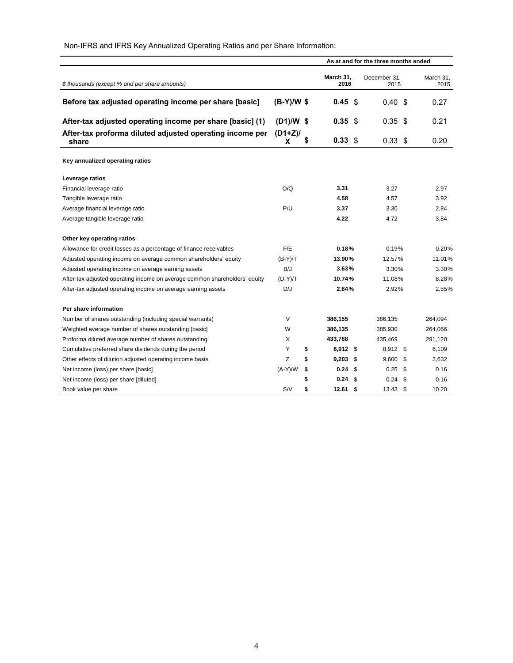|                                                                            |               |                   | As at and for the three months ended |                   |
|----------------------------------------------------------------------------|---------------|-------------------|--------------------------------------|-------------------|
| \$ thousands (except % and per share amounts)                              |               | March 31,<br>2016 | December 31,<br>2015                 | March 31,<br>2015 |
| Before tax adjusted operating income per share [basic]                     | $(B-Y)/W$ \$  | 0.45<br>-\$       | 0.40<br>\$                           | 0.27              |
| After-tax adjusted operating income per share [basic] (1)                  | $(D1)/W$ \$   | 0.35 <sub>5</sub> | 0.35<br>\$                           | 0.21              |
| After-tax proforma diluted adjusted operating income per<br>share          | $(D1+Z)$<br>X | \$<br>$0.33$ \$   | 0.33 <sup>5</sup>                    | 0.20              |
| Key annualized operating ratios                                            |               |                   |                                      |                   |
| Leverage ratios                                                            |               |                   |                                      |                   |
| Financial leverage ratio                                                   | O/Q           | 3.31              | 3.27                                 | 2.97              |
| Tangible leverage ratio                                                    |               | 4.58              | 4.57                                 | 3.92              |
| Average financial leverage ratio                                           | P/U           | 3.37              | 3.30                                 | 2.84              |
| Average tangible leverage ratio                                            |               | 4.22              | 4.72                                 | 3.84              |
| Other key operating ratios                                                 |               |                   |                                      |                   |
| Allowance for credit losses as a percentage of finance receivables         | F/E           | 0.18%             | 0.19%                                | 0.20%             |
| Adjusted operating income on average common shareholders' equity           | $(B-Y)/T$     | 13.90%            | 12.57%                               | 11.01%            |
| Adjusted operating income on average earning assets                        | B/J           | 3.63%             | 3.30%                                | 3.30%             |
| After-tax adjusted operating income on average common shareholders' equity | $(D-Y)/T$     | 10.74%            | 11.08%                               | 8.28%             |
| After-tax adjusted operating income on average earning assets              | D/J           | 2.84%             | 2.92%                                | 2.55%             |
| Per share information                                                      |               |                   |                                      |                   |
| Number of shares outstanding (including special warrants)                  | V             | 386,155           | 386.135                              | 264,094           |
| Weighted average number of shares outstanding [basic]                      | W             | 386,135           | 385,930                              | 264,066           |
| Proforma diluted average number of shares outstanding                      | X             | 433,788           | 435,469                              | 291,120           |
| Cumulative preferred share dividends during the period                     | Y             | \$<br>8,912 \$    | 8,912 \$                             | 6,109             |
| Other effects of dilution adjusted operating income basis                  | Z             | \$<br>9,203<br>\$ | 9,600<br>\$                          | 3,632             |
| Net income (loss) per share [basic]                                        | $(A-Y)/W$     | \$<br>0.24<br>\$  | 0.25<br>\$                           | 0.16              |
| Net income (loss) per share [diluted]                                      |               | \$<br>0.24<br>\$  | 0.24<br>\$                           | 0.16              |
| Book value per share                                                       | S/N           | \$<br>$12.61$ \$  | 13.43 \$                             | 10.20             |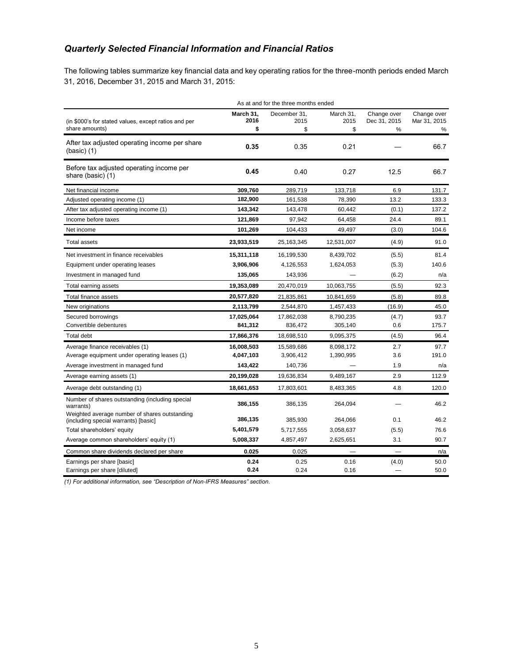# *Quarterly Selected Financial Information and Financial Ratios*

The following tables summarize key financial data and key operating ratios for the three-month periods ended March 31, 2016, December 31, 2015 and March 31, 2015:

| As at and for the three months ended                                                  |                         |                            |                         |                                  |                                  |
|---------------------------------------------------------------------------------------|-------------------------|----------------------------|-------------------------|----------------------------------|----------------------------------|
| (in \$000's for stated values, except ratios and per<br>share amounts)                | March 31,<br>2016<br>\$ | December 31,<br>2015<br>\$ | March 31,<br>2015<br>\$ | Change over<br>Dec 31, 2015<br>% | Change over<br>Mar 31, 2015<br>% |
| After tax adjusted operating income per share<br>$(basic)$ (1)                        | 0.35                    | 0.35                       | 0.21                    |                                  | 66.7                             |
| Before tax adjusted operating income per<br>share (basic) (1)                         | 0.45                    | 0.40                       | 0.27                    | 12.5                             | 66.7                             |
| Net financial income                                                                  | 309,760                 | 289,719                    | 133,718                 | 6.9                              | 131.7                            |
| Adjusted operating income (1)                                                         | 182,900                 | 161,538                    | 78,390                  | 13.2                             | 133.3                            |
| After tax adjusted operating income (1)                                               | 143,342                 | 143,478                    | 60,442                  | (0.1)                            | 137.2                            |
| Income before taxes                                                                   | 121,869                 | 97,942                     | 64,458                  | 24.4                             | 89.1                             |
| Net income                                                                            | 101,269                 | 104,433                    | 49,497                  | (3.0)                            | 104.6                            |
| Total assets                                                                          | 23,933,519              | 25, 163, 345               | 12,531,007              | (4.9)                            | 91.0                             |
| Net investment in finance receivables                                                 | 15,311,118              | 16,199,530                 | 8,439,702               | (5.5)                            | 81.4                             |
| Equipment under operating leases                                                      | 3,906,906               | 4,126,553                  | 1,624,053               | (5.3)                            | 140.6                            |
| Investment in managed fund                                                            | 135,065                 | 143,936                    |                         | (6.2)                            | n/a                              |
| Total earning assets                                                                  | 19,353,089              | 20,470,019                 | 10,063,755              | (5.5)                            | 92.3                             |
| Total finance assets                                                                  | 20,577,820              | 21,835,861                 | 10,841,659              | (5.8)                            | 89.8                             |
| New originations                                                                      | 2,113,799               | 2,544,870                  | 1,457,433               | (16.9)                           | 45.0                             |
| Secured borrowings                                                                    | 17,025,064              | 17,862,038                 | 8,790,235               | (4.7)                            | 93.7                             |
| Convertible debentures                                                                | 841,312                 | 836,472                    | 305,140                 | 0.6                              | 175.7                            |
| <b>Total debt</b>                                                                     | 17,866,376              | 18,698,510                 | 9,095,375               | (4.5)                            | 96.4                             |
| Average finance receivables (1)                                                       | 16,008,503              | 15,589,686                 | 8,098,172               | 2.7                              | 97.7                             |
| Average equipment under operating leases (1)                                          | 4,047,103               | 3,906,412                  | 1,390,995               | 3.6                              | 191.0                            |
| Average investment in managed fund                                                    | 143,422                 | 140,736                    |                         | 1.9                              | n/a                              |
| Average earning assets (1)                                                            | 20,199,028              | 19,636,834                 | 9,489,167               | 2.9                              | 112.9                            |
| Average debt outstanding (1)                                                          | 18,661,653              | 17,803,601                 | 8,483,365               | 4.8                              | 120.0                            |
| Number of shares outstanding (including special<br>warrants)                          | 386,155                 | 386,135                    | 264,094                 |                                  | 46.2                             |
| Weighted average number of shares outstanding<br>(including special warrants) [basic] | 386,135                 | 385,930                    | 264,066                 | 0.1                              | 46.2                             |
| Total shareholders' equity                                                            | 5,401,579               | 5,717,555                  | 3,058,637               | (5.5)                            | 76.6                             |
| Average common shareholders' equity (1)                                               | 5,008,337               | 4,857,497                  | 2,625,651               | 3.1                              | 90.7                             |
| Common share dividends declared per share                                             | 0.025                   | 0.025                      |                         |                                  | n/a                              |
| Earnings per share [basic]                                                            | 0.24                    | 0.25                       | 0.16                    | (4.0)                            | 50.0                             |
| Earnings per share [diluted]                                                          | 0.24                    | 0.24                       | 0.16                    |                                  | 50.0                             |

*(1) For additional information, see "Description of Non-IFRS Measures" section.*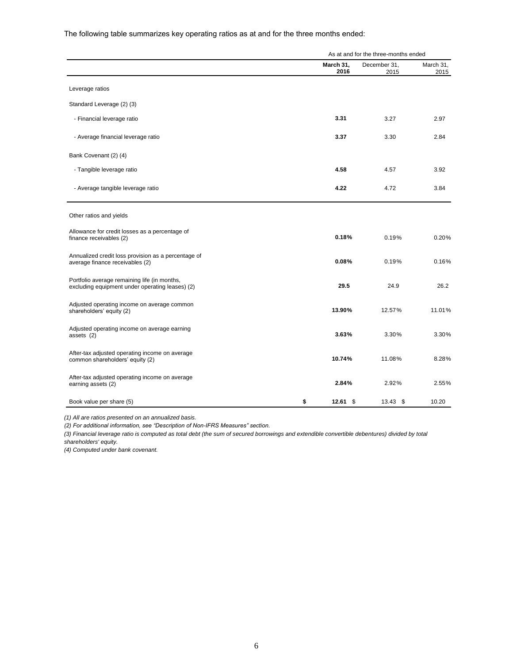The following table summarizes key operating ratios as at and for the three months ended:

|                                                                                                 |           | As at and for the three-months ended |                      |                   |
|-------------------------------------------------------------------------------------------------|-----------|--------------------------------------|----------------------|-------------------|
|                                                                                                 | March 31, | 2016                                 | December 31,<br>2015 | March 31,<br>2015 |
| Leverage ratios                                                                                 |           |                                      |                      |                   |
| Standard Leverage (2) (3)                                                                       |           |                                      |                      |                   |
| - Financial leverage ratio                                                                      |           | 3.31                                 | 3.27                 | 2.97              |
| - Average financial leverage ratio                                                              |           | 3.37                                 | 3.30                 | 2.84              |
| Bank Covenant (2) (4)                                                                           |           |                                      |                      |                   |
| - Tangible leverage ratio                                                                       |           | 4.58                                 | 4.57                 | 3.92              |
| - Average tangible leverage ratio                                                               |           | 4.22                                 | 4.72                 | 3.84              |
| Other ratios and yields                                                                         |           |                                      |                      |                   |
| Allowance for credit losses as a percentage of<br>finance receivables (2)                       |           | 0.18%                                | 0.19%                | 0.20%             |
| Annualized credit loss provision as a percentage of<br>average finance receivables (2)          |           | 0.08%                                | 0.19%                | 0.16%             |
| Portfolio average remaining life (in months,<br>excluding equipment under operating leases) (2) |           | 29.5                                 | 24.9                 | 26.2              |
| Adjusted operating income on average common<br>shareholders' equity (2)                         |           | 13.90%                               | 12.57%               | 11.01%            |
| Adjusted operating income on average earning<br>assets (2)                                      |           | 3.63%                                | 3.30%                | 3.30%             |
| After-tax adjusted operating income on average<br>common shareholders' equity (2)               |           | 10.74%                               | 11.08%               | 8.28%             |
| After-tax adjusted operating income on average<br>earning assets (2)                            |           | 2.84%                                | 2.92%                | 2.55%             |
| Book value per share (5)                                                                        | \$        | $12.61$ \$                           | $13.43$ \$           | 10.20             |

*(1) All are ratios presented on an annualized basis.* 

*(2) For additional information, see "Description of Non-IFRS Measures" section.*

*(3) Financial leverage ratio is computed as total debt (the sum of secured borrowings and extendible convertible debentures) divided by total shareholders' equity.*

*(4) Computed under bank covenant.*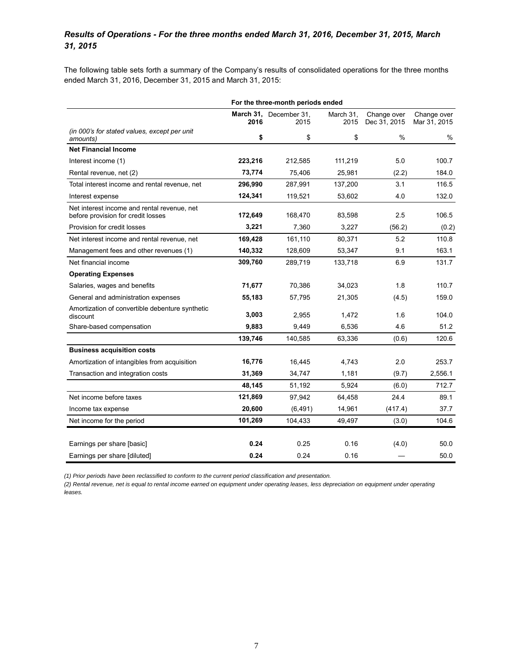## *Results of Operations - For the three months ended March 31, 2016, December 31, 2015, March 31, 2015*

The following table sets forth a summary of the Company's results of consolidated operations for the three months ended March 31, 2016, December 31, 2015 and March 31, 2015:

|                                                                                   | For the three-month periods ended |                                |                   |                             |                             |
|-----------------------------------------------------------------------------------|-----------------------------------|--------------------------------|-------------------|-----------------------------|-----------------------------|
|                                                                                   | 2016                              | March 31, December 31,<br>2015 | March 31.<br>2015 | Change over<br>Dec 31, 2015 | Change over<br>Mar 31, 2015 |
| (in 000's for stated values, except per unit<br>amounts)                          | \$                                | \$                             | \$                | $\%$                        | %                           |
| <b>Net Financial Income</b>                                                       |                                   |                                |                   |                             |                             |
| Interest income (1)                                                               | 223,216                           | 212,585                        | 111,219           | 5.0                         | 100.7                       |
| Rental revenue, net (2)                                                           | 73,774                            | 75,406                         | 25,981            | (2.2)                       | 184.0                       |
| Total interest income and rental revenue, net                                     | 296,990                           | 287,991                        | 137,200           | 3.1                         | 116.5                       |
| Interest expense                                                                  | 124,341                           | 119,521                        | 53,602            | 4.0                         | 132.0                       |
| Net interest income and rental revenue, net<br>before provision for credit losses | 172,649                           | 168,470                        | 83,598            | 2.5                         | 106.5                       |
| Provision for credit losses                                                       | 3,221                             | 7,360                          | 3,227             | (56.2)                      | (0.2)                       |
| Net interest income and rental revenue, net                                       | 169,428                           | 161,110                        | 80,371            | 5.2                         | 110.8                       |
| Management fees and other revenues (1)                                            | 140,332                           | 128,609                        | 53,347            | 9.1                         | 163.1                       |
| Net financial income                                                              | 309,760                           | 289,719                        | 133,718           | 6.9                         | 131.7                       |
| <b>Operating Expenses</b>                                                         |                                   |                                |                   |                             |                             |
| Salaries, wages and benefits                                                      | 71,677                            | 70,386                         | 34,023            | 1.8                         | 110.7                       |
| General and administration expenses                                               | 55,183                            | 57,795                         | 21,305            | (4.5)                       | 159.0                       |
| Amortization of convertible debenture synthetic<br>discount                       | 3,003                             | 2,955                          | 1,472             | 1.6                         | 104.0                       |
| Share-based compensation                                                          | 9,883                             | 9,449                          | 6,536             | 4.6                         | 51.2                        |
|                                                                                   | 139,746                           | 140,585                        | 63,336            | (0.6)                       | 120.6                       |
| <b>Business acquisition costs</b>                                                 |                                   |                                |                   |                             |                             |
| Amortization of intangibles from acquisition                                      | 16,776                            | 16,445                         | 4.743             | 2.0                         | 253.7                       |
| Transaction and integration costs                                                 | 31,369                            | 34,747                         | 1,181             | (9.7)                       | 2,556.1                     |
|                                                                                   | 48,145                            | 51,192                         | 5,924             | (6.0)                       | 712.7                       |
| Net income before taxes                                                           | 121,869                           | 97,942                         | 64,458            | 24.4                        | 89.1                        |
| Income tax expense                                                                | 20,600                            | (6, 491)                       | 14,961            | (417.4)                     | 37.7                        |
| Net income for the period                                                         | 101,269                           | 104,433                        | 49,497            | (3.0)                       | 104.6                       |
| Earnings per share [basic]                                                        | 0.24                              | 0.25                           | 0.16              | (4.0)                       | 50.0                        |
| Earnings per share [diluted]                                                      | 0.24                              | 0.24                           | 0.16              |                             | 50.0                        |

*(1) Prior periods have been reclassified to conform to the current period classification and presentation.*

*(2) Rental revenue, net is equal to rental income earned on equipment under operating leases, less depreciation on equipment under operating leases.*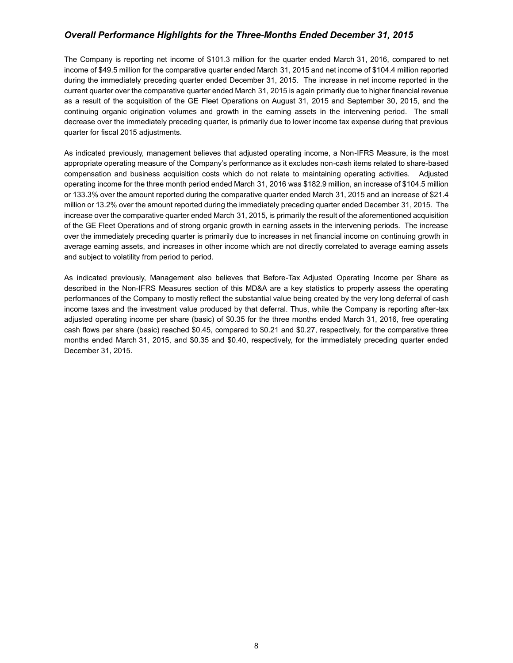## *Overall Performance Highlights for the Three-Months Ended December 31, 2015*

The Company is reporting net income of \$101.3 million for the quarter ended March 31, 2016, compared to net income of \$49.5 million for the comparative quarter ended March 31, 2015 and net income of \$104.4 million reported during the immediately preceding quarter ended December 31, 2015. The increase in net income reported in the current quarter over the comparative quarter ended March 31, 2015 is again primarily due to higher financial revenue as a result of the acquisition of the GE Fleet Operations on August 31, 2015 and September 30, 2015, and the continuing organic origination volumes and growth in the earning assets in the intervening period. The small decrease over the immediately preceding quarter, is primarily due to lower income tax expense during that previous quarter for fiscal 2015 adjustments.

As indicated previously, management believes that adjusted operating income, a Non-IFRS Measure, is the most appropriate operating measure of the Company's performance as it excludes non-cash items related to share-based compensation and business acquisition costs which do not relate to maintaining operating activities. Adjusted operating income for the three month period ended March 31, 2016 was \$182.9 million, an increase of \$104.5 million or 133.3% over the amount reported during the comparative quarter ended March 31, 2015 and an increase of \$21.4 million or 13.2% over the amount reported during the immediately preceding quarter ended December 31, 2015. The increase over the comparative quarter ended March 31, 2015, is primarily the result of the aforementioned acquisition of the GE Fleet Operations and of strong organic growth in earning assets in the intervening periods. The increase over the immediately preceding quarter is primarily due to increases in net financial income on continuing growth in average earning assets, and increases in other income which are not directly correlated to average earning assets and subject to volatility from period to period.

As indicated previously, Management also believes that Before-Tax Adjusted Operating Income per Share as described in the Non-IFRS Measures section of this MD&A are a key statistics to properly assess the operating performances of the Company to mostly reflect the substantial value being created by the very long deferral of cash income taxes and the investment value produced by that deferral. Thus, while the Company is reporting after-tax adjusted operating income per share (basic) of \$0.35 for the three months ended March 31, 2016, free operating cash flows per share (basic) reached \$0.45, compared to \$0.21 and \$0.27, respectively, for the comparative three months ended March 31, 2015, and \$0.35 and \$0.40, respectively, for the immediately preceding quarter ended December 31, 2015.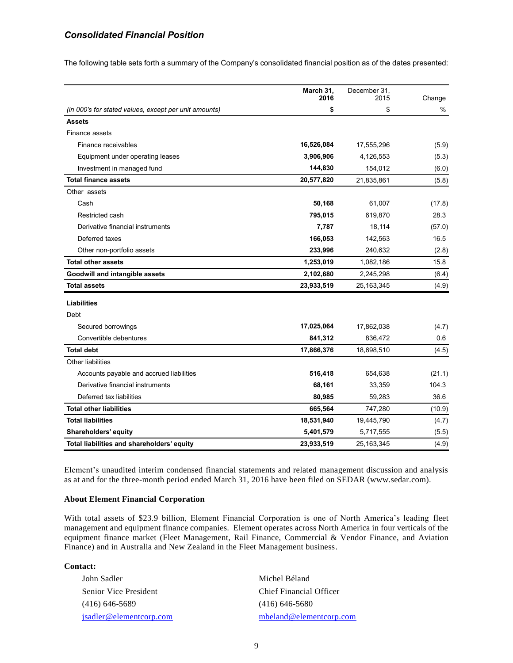## *Consolidated Financial Position*

The following table sets forth a summary of the Company's consolidated financial position as of the dates presented:

|                                                       | March 31,  | December 31, |        |
|-------------------------------------------------------|------------|--------------|--------|
|                                                       | 2016       | 2015         | Change |
| (in 000's for stated values, except per unit amounts) | \$         | \$           | %      |
| <b>Assets</b>                                         |            |              |        |
| Finance assets                                        |            |              |        |
| Finance receivables                                   | 16,526,084 | 17,555,296   | (5.9)  |
| Equipment under operating leases                      | 3,906,906  | 4,126,553    | (5.3)  |
| Investment in managed fund                            | 144,830    | 154,012      | (6.0)  |
| <b>Total finance assets</b>                           | 20,577,820 | 21,835,861   | (5.8)  |
| Other assets                                          |            |              |        |
| Cash                                                  | 50,168     | 61,007       | (17.8) |
| Restricted cash                                       | 795,015    | 619,870      | 28.3   |
| Derivative financial instruments                      | 7,787      | 18,114       | (57.0) |
| Deferred taxes                                        | 166,053    | 142,563      | 16.5   |
| Other non-portfolio assets                            | 233,996    | 240,632      | (2.8)  |
| <b>Total other assets</b>                             | 1,253,019  | 1,082,186    | 15.8   |
| Goodwill and intangible assets                        | 2,102,680  | 2,245,298    | (6.4)  |
| <b>Total assets</b>                                   | 23,933,519 | 25, 163, 345 | (4.9)  |
| <b>Liabilities</b>                                    |            |              |        |
| Debt                                                  |            |              |        |
| Secured borrowings                                    | 17,025,064 | 17,862,038   | (4.7)  |
| Convertible debentures                                | 841,312    | 836,472      | 0.6    |
| <b>Total debt</b>                                     | 17,866,376 | 18,698,510   | (4.5)  |
| Other liabilities                                     |            |              |        |
| Accounts payable and accrued liabilities              | 516,418    | 654,638      | (21.1) |
| Derivative financial instruments                      | 68,161     | 33,359       | 104.3  |
| Deferred tax liabilities                              | 80,985     | 59,283       | 36.6   |
| <b>Total other liabilities</b>                        | 665,564    | 747,280      | (10.9) |
| <b>Total liabilities</b>                              | 18,531,940 | 19,445,790   | (4.7)  |
| Shareholders' equity                                  | 5,401,579  | 5,717,555    | (5.5)  |
| Total liabilities and shareholders' equity            | 23,933,519 | 25, 163, 345 | (4.9)  |

Element's unaudited interim condensed financial statements and related management discussion and analysis as at and for the three-month period ended March 31, 2016 have been filed on SEDAR (www.sedar.com).

### **About Element Financial Corporation**

With total assets of \$23.9 billion, Element Financial Corporation is one of North America's leading fleet management and equipment finance companies. Element operates across North America in four verticals of the equipment finance market (Fleet Management, Rail Finance, Commercial & Vendor Finance, and Aviation Finance) and in Australia and New Zealand in the Fleet Management business.

**Contact:**

| John Sadler                  | Michel Béland           |
|------------------------------|-------------------------|
| <b>Senior Vice President</b> | Chief Financial Officer |
| $(416)$ 646-5689             | $(416)$ 646-5680        |
| isadler@elementcorp.com      | mbeland@elementcorp.com |